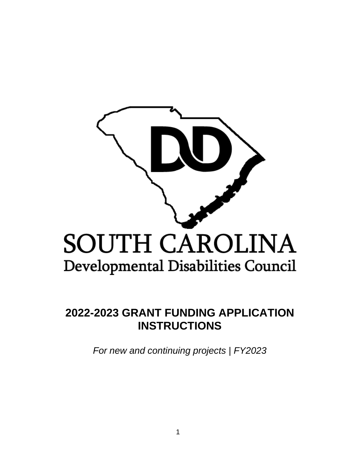

# **2022-2023 GRANT FUNDING APPLICATION INSTRUCTIONS**

*For new and continuing projects | FY2023*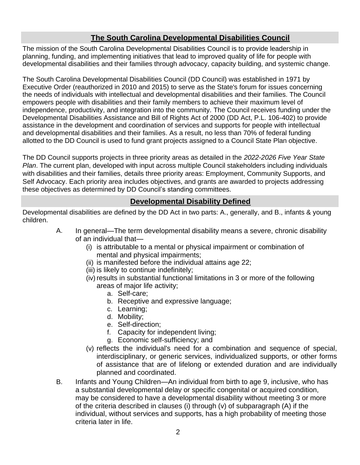# **The South Carolina Developmental Disabilities Council**

The mission of the South Carolina Developmental Disabilities Council is to provide leadership in planning, funding, and implementing initiatives that lead to improved quality of life for people with developmental disabilities and their families through advocacy, capacity building, and systemic change.

The South Carolina Developmental Disabilities Council (DD Council) was established in 1971 by Executive Order (reauthorized in 2010 and 2015) to serve as the State's forum for issues concerning the needs of individuals with intellectual and developmental disabilities and their families. The Council empowers people with disabilities and their family members to achieve their maximum level of independence, productivity, and integration into the community. The Council receives funding under the Developmental Disabilities Assistance and Bill of Rights Act of 2000 (DD Act, P.L. 106-402) to provide assistance in the development and coordination of services and supports for people with intellectual and developmental disabilities and their families. As a result, no less than 70% of federal funding allotted to the DD Council is used to fund grant projects assigned to a Council State Plan objective.

The DD Council supports projects in three priority areas as detailed in the *2022-2026 Five Year State Plan*. The current plan, developed with input across multiple Council stakeholders including individuals with disabilities and their families, details three priority areas: Employment, Community Supports, and Self Advocacy. Each priority area includes objectives, and grants are awarded to projects addressing these objectives as determined by DD Council's standing committees.

# **Developmental Disability Defined**

Developmental disabilities are defined by the DD Act in two parts: A., generally, and B., infants & young children.

- A. In general—The term developmental disability means a severe, chronic disability of an individual that—
	- (i) is attributable to a mental or physical impairment or combination of mental and physical impairments;
	- (ii) is manifested before the individual attains age 22;
	- (iii) is likely to continue indefinitely;
	- (iv) results in substantial functional limitations in 3 or more of the following areas of major life activity;
		- a. Self-care;
		- b. Receptive and expressive language;
		- c. Learning;
		- d. Mobility;
		- e. Self-direction;
		- f. Capacity for independent living;
		- g. Economic self-sufficiency; and
	- (v) reflects the individual's need for a combination and sequence of special, interdisciplinary, or generic services, individualized supports, or other forms of assistance that are of lifelong or extended duration and are individually planned and coordinated.
- B. Infants and Young Children—An individual from birth to age 9, inclusive, who has a substantial developmental delay or specific congenital or acquired condition, may be considered to have a developmental disability without meeting 3 or more of the criteria described in clauses (i) through (v) of subparagraph (A) if the individual, without services and supports, has a high probability of meeting those criteria later in life.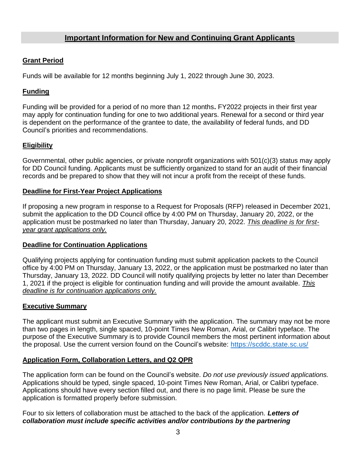# **Important Information for New and Continuing Grant Applicants**

## **Grant Period**

Funds will be available for 12 months beginning July 1, 2022 through June 30, 2023.

## **Funding**

Funding will be provided for a period of no more than 12 months**.** FY2022 projects in their first year may apply for continuation funding for one to two additional years. Renewal for a second or third year is dependent on the performance of the grantee to date, the availability of federal funds, and DD Council's priorities and recommendations.

## **Eligibility**

Governmental, other public agencies, or private nonprofit organizations with 501(c)(3) status may apply for DD Council funding. Applicants must be sufficiently organized to stand for an audit of their financial records and be prepared to show that they will not incur a profit from the receipt of these funds.

#### **Deadline for First-Year Project Applications**

If proposing a new program in response to a Request for Proposals (RFP) released in December 2021, submit the application to the DD Council office by 4:00 PM on Thursday, January 20, 2022, or the application must be postmarked no later than Thursday, January 20, 2022. *This deadline is for firstyear grant applications only.*

## **Deadline for Continuation Applications**

Qualifying projects applying for continuation funding must submit application packets to the Council office by 4:00 PM on Thursday, January 13, 2022, or the application must be postmarked no later than Thursday, January 13, 2022. DD Council will notify qualifying projects by letter no later than December 1, 2021 if the project is eligible for continuation funding and will provide the amount available. *This deadline is for continuation applications only.*

## **Executive Summary**

The applicant must submit an Executive Summary with the application. The summary may not be more than two pages in length, single spaced, 10-point Times New Roman, Arial, or Calibri typeface. The purpose of the Executive Summary is to provide Council members the most pertinent information about the proposal. Use the current version found on the Council's website: <https://scddc.state.sc.us/>

## **Application Form, Collaboration Letters, and Q2 QPR**

The application form can be found on the Council's website. *Do not use previously issued applications.* Applications should be typed, single spaced, 10-point Times New Roman, Arial, or Calibri typeface. Applications should have every section filled out, and there is no page limit. Please be sure the application is formatted properly before submission.

Four to six letters of collaboration must be attached to the back of the application. *Letters of collaboration must include specific activities and/or contributions by the partnering*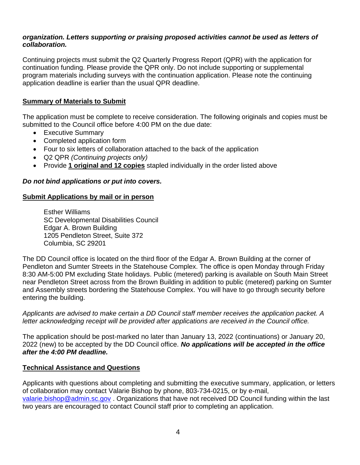#### *organization. Letters supporting or praising proposed activities cannot be used as letters of collaboration.*

Continuing projects must submit the Q2 Quarterly Progress Report (QPR) with the application for continuation funding. Please provide the QPR only. Do not include supporting or supplemental program materials including surveys with the continuation application. Please note the continuing application deadline is earlier than the usual QPR deadline.

## **Summary of Materials to Submit**

The application must be complete to receive consideration. The following originals and copies must be submitted to the Council office before 4:00 PM on the due date:

- Executive Summary
- Completed application form
- Four to six letters of collaboration attached to the back of the application
- Q2 QPR *(Continuing projects only)*
- Provide **1 original and 12 copies** stapled individually in the order listed above

#### *Do not bind applications or put into covers.*

#### **Submit Applications by mail or in person**

Esther Williams SC Developmental Disabilities Council Edgar A. Brown Building 1205 Pendleton Street, Suite 372 Columbia, SC 29201

The DD Council office is located on the third floor of the Edgar A. Brown Building at the corner of Pendleton and Sumter Streets in the Statehouse Complex. The office is open Monday through Friday 8:30 AM-5:00 PM excluding State holidays. Public (metered) parking is available on South Main Street near Pendleton Street across from the Brown Building in addition to public (metered) parking on Sumter and Assembly streets bordering the Statehouse Complex. You will have to go through security before entering the building.

*Applicants are advised to make certain a DD Council staff member receives the application packet. A letter acknowledging receipt will be provided after applications are received in the Council office.*

The application should be post-marked no later than January 13, 2022 (continuations) or January 20, 2022 (new) to be accepted by the DD Council office. *No applications will be accepted in the office after the 4:00 PM deadline.*

#### **Technical Assistance and Questions**

Applicants with questions about completing and submitting the executive summary, application, or letters of collaboration may contact Valarie Bishop by phone, 803-734-0215, or by e-mail, [valarie.bishop@admin.sc.gov](mailto:valarie.bishop@admin.sc.gov) . Organizations that have not received DD Council funding within the last two years are encouraged to contact Council staff prior to completing an application.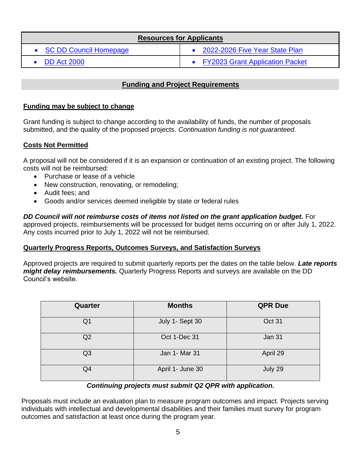| <b>Resources for Applicants</b> |                                   |  |  |
|---------------------------------|-----------------------------------|--|--|
| • SC DD Council Homepage        | • 2022-2026 Five Year State Plan  |  |  |
| $\bullet$ DD Act 2000           | • FY2023 Grant Application Packet |  |  |

# **Funding and Project Requirements**

## **Funding may be subject to change**

Grant funding is subject to change according to the availability of funds, the number of proposals submitted, and the quality of the proposed projects. *Continuation funding is not guaranteed.*

## **Costs Not Permitted**

A proposal will not be considered if it is an expansion or continuation of an existing project. The following costs will not be reimbursed:

- Purchase or lease of a vehicle
- New construction, renovating, or remodeling;
- Audit fees; and
- Goods and/or services deemed ineligible by state or federal rules

*DD Council will not reimburse costs of items not listed on the grant application budget.* **For** approved projects, reimbursements will be processed for budget items occurring on or after July 1, 2022. Any costs incurred prior to July 1, 2022 will not be reimbursed.

#### **Quarterly Progress Reports, Outcomes Surveys, and Satisfaction Surveys**

Approved projects are required to submit quarterly reports per the dates on the table below. *Late reports might delay reimbursements.* Quarterly Progress Reports and surveys are available on the DD Council's website.

| Quarter        | <b>Months</b>    | <b>QPR Due</b> |
|----------------|------------------|----------------|
| Q1             | July 1- Sept 30  | Oct 31         |
| Q2             | Oct 1-Dec 31     | <b>Jan 31</b>  |
| Q <sub>3</sub> | Jan 1- Mar 31    | April 29       |
| Q4             | April 1- June 30 | July 29        |

#### *Continuing projects must submit Q2 QPR with application.*

Proposals must include an evaluation plan to measure program outcomes and impact. Projects serving individuals with intellectual and developmental disabilities and their families must survey for program outcomes and satisfaction at least once during the program year.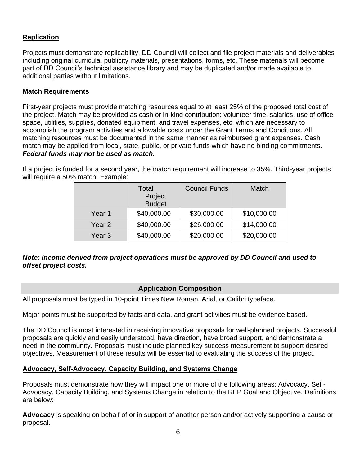## **Replication**

Projects must demonstrate replicability. DD Council will collect and file project materials and deliverables including original curricula, publicity materials, presentations, forms, etc. These materials will become part of DD Council's technical assistance library and may be duplicated and/or made available to additional parties without limitations.

#### **Match Requirements**

First-year projects must provide matching resources equal to at least 25% of the proposed total cost of the project. Match may be provided as cash or in-kind contribution: volunteer time, salaries, use of office space, utilities, supplies, donated equipment, and travel expenses, etc. which are necessary to accomplish the program activities and allowable costs under the Grant Terms and Conditions. All matching resources must be documented in the same manner as reimbursed grant expenses. Cash match may be applied from local, state, public, or private funds which have no binding commitments. *Federal funds may not be used as match.*

If a project is funded for a second year, the match requirement will increase to 35%. Third-year projects will require a 50% match. Example:

|        | Total<br>Project<br><b>Budget</b> | <b>Council Funds</b> | Match       |
|--------|-----------------------------------|----------------------|-------------|
| Year 1 | \$40,000.00                       | \$30,000.00          | \$10,000.00 |
| Year 2 | \$40,000.00                       | \$26,000.00          | \$14,000.00 |
| Year 3 | \$40,000.00                       | \$20,000.00          | \$20,000.00 |

## *Note: Income derived from project operations must be approved by DD Council and used to offset project costs.*

# **Application Composition**

All proposals must be typed in 10-point Times New Roman, Arial, or Calibri typeface.

Major points must be supported by facts and data, and grant activities must be evidence based.

The DD Council is most interested in receiving innovative proposals for well-planned projects. Successful proposals are quickly and easily understood, have direction, have broad support, and demonstrate a need in the community. Proposals must include planned key success measurement to support desired objectives. Measurement of these results will be essential to evaluating the success of the project.

#### **Advocacy, Self-Advocacy, Capacity Building, and Systems Change**

Proposals must demonstrate how they will impact one or more of the following areas: Advocacy, Self-Advocacy, Capacity Building, and Systems Change in relation to the RFP Goal and Objective. Definitions are below:

**Advocacy** is speaking on behalf of or in support of another person and/or actively supporting a cause or proposal.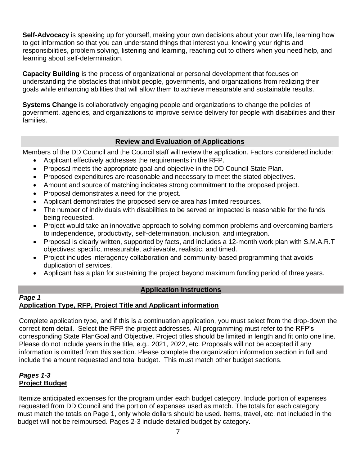**Self-Advocacy** is speaking up for yourself, making your own decisions about your own life, learning how to get information so that you can understand things that interest you, knowing your rights and responsibilities, problem solving, listening and learning, reaching out to others when you need help, and learning about self-determination.

**Capacity Building** is the process of organizational or personal development that focuses on understanding the obstacles that inhibit people, governments, and organizations from realizing their goals while enhancing abilities that will allow them to achieve measurable and sustainable results.

**Systems Change** is collaboratively engaging people and organizations to change the policies of government, agencies, and organizations to improve service delivery for people with disabilities and their families.

# **Review and Evaluation of Applications**

Members of the DD Council and the Council staff will review the application. Factors considered include:

- Applicant effectively addresses the requirements in the RFP.
- Proposal meets the appropriate goal and objective in the DD Council State Plan.
- Proposed expenditures are reasonable and necessary to meet the stated objectives.
- Amount and source of matching indicates strong commitment to the proposed project.
- Proposal demonstrates a need for the project.
- Applicant demonstrates the proposed service area has limited resources.
- The number of individuals with disabilities to be served or impacted is reasonable for the funds being requested.
- Project would take an innovative approach to solving common problems and overcoming barriers to independence, productivity, self-determination, inclusion, and integration.
- Proposal is clearly written, supported by facts, and includes a 12-month work plan with S.M.A.R.T objectives: specific, measurable, achievable, realistic, and timed.
- Project includes interagency collaboration and community-based programming that avoids duplication of services.
- Applicant has a plan for sustaining the project beyond maximum funding period of three years.

## **Application Instructions**

#### *Page 1* **Application Type, RFP, Project Title and Applicant information**

Complete application type, and if this is a continuation application, you must select from the drop-down the correct item detail. Select the RFP the project addresses. All programming must refer to the RFP's corresponding State PlanGoal and Objective. Project titles should be limited in length and fit onto one line. Please do not include years in the title, e.g., 2021, 2022, etc. Proposals will not be accepted if any information is omitted from this section. Please complete the organization information section in full and include the amount requested and total budget. This must match other budget sections.

#### *Pages 1-3* **Project Budget**

Itemize anticipated expenses for the program under each budget category. Include portion of expenses requested from DD Council and the portion of expenses used as match. The totals for each category must match the totals on Page 1, only whole dollars should be used. Items, travel, etc. not included in the budget will not be reimbursed. Pages 2-3 include detailed budget by category.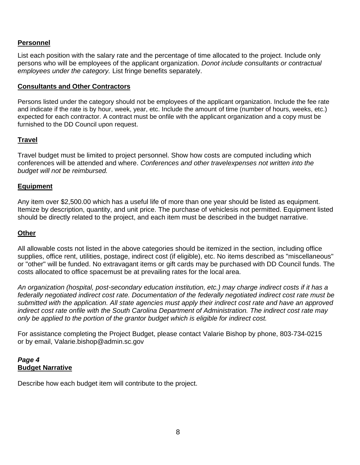#### **Personnel**

List each position with the salary rate and the percentage of time allocated to the project. Include only persons who will be employees of the applicant organization. *Donot include consultants or contractual employees under the category.* List fringe benefits separately.

#### **Consultants and Other Contractors**

Persons listed under the category should not be employees of the applicant organization. Include the fee rate and indicate if the rate is by hour, week, year, etc. Include the amount of time (number of hours, weeks, etc.) expected for each contractor. A contract must be onfile with the applicant organization and a copy must be furnished to the DD Council upon request.

#### **Travel**

Travel budget must be limited to project personnel. Show how costs are computed including which conferences will be attended and where. *Conferences and other travelexpenses not written into the budget will not be reimbursed.*

#### **Equipment**

Any item over \$2,500.00 which has a useful life of more than one year should be listed as equipment. Itemize by description, quantity, and unit price. The purchase of vehiclesis not permitted. Equipment listed should be directly related to the project, and each item must be described in the budget narrative.

#### **Other**

All allowable costs not listed in the above categories should be itemized in the section, including office supplies, office rent, utilities, postage, indirect cost (if eligible), etc. No items described as "miscellaneous" or "other" will be funded. No extravagant items or gift cards may be purchased with DD Council funds. The costs allocated to office spacemust be at prevailing rates for the local area.

*An organization (hospital, post-secondary education institution, etc.) may charge indirect costs if it has a federally negotiated indirect cost rate. Documentation of the federally negotiated indirect cost rate must be submitted with the application. All state agencies must apply their indirect cost rate and have an approved indirect cost rate onfile with the South Carolina Department of Administration. The indirect cost rate may only be applied to the portion of the grantor budget which is eligible for indirect cost.*

For assistance completing the Project Budget, please contact Valarie Bishop by phone, 803-734-0215 or by email, Valarie.bishop@admin.sc.gov

#### *Page 4* **Budget Narrative**

Describe how each budget item will contribute to the project.